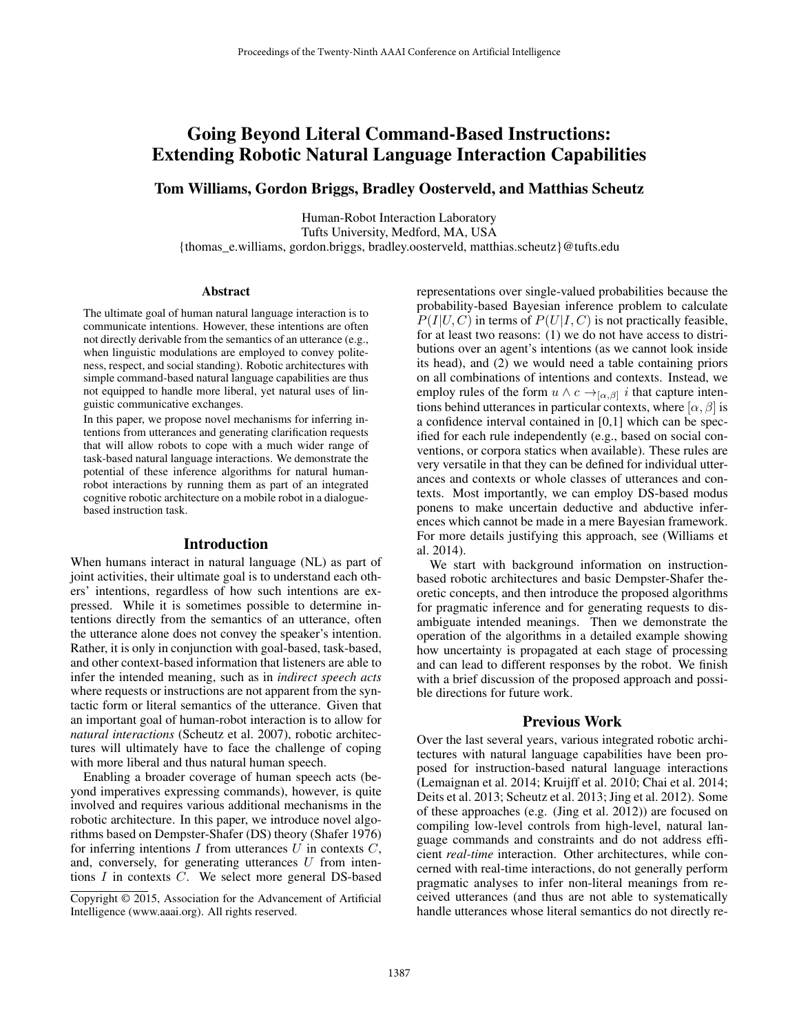# Going Beyond Literal Command-Based Instructions: Extending Robotic Natural Language Interaction Capabilities

Tom Williams, Gordon Briggs, Bradley Oosterveld, and Matthias Scheutz

Human-Robot Interaction Laboratory Tufts University, Medford, MA, USA {thomas\_e.williams, gordon.briggs, bradley.oosterveld, matthias.scheutz}@tufts.edu

#### Abstract

The ultimate goal of human natural language interaction is to communicate intentions. However, these intentions are often not directly derivable from the semantics of an utterance (e.g., when linguistic modulations are employed to convey politeness, respect, and social standing). Robotic architectures with simple command-based natural language capabilities are thus not equipped to handle more liberal, yet natural uses of linguistic communicative exchanges.

In this paper, we propose novel mechanisms for inferring intentions from utterances and generating clarification requests that will allow robots to cope with a much wider range of task-based natural language interactions. We demonstrate the potential of these inference algorithms for natural humanrobot interactions by running them as part of an integrated cognitive robotic architecture on a mobile robot in a dialoguebased instruction task.

#### Introduction

When humans interact in natural language (NL) as part of joint activities, their ultimate goal is to understand each others' intentions, regardless of how such intentions are expressed. While it is sometimes possible to determine intentions directly from the semantics of an utterance, often the utterance alone does not convey the speaker's intention. Rather, it is only in conjunction with goal-based, task-based, and other context-based information that listeners are able to infer the intended meaning, such as in *indirect speech acts* where requests or instructions are not apparent from the syntactic form or literal semantics of the utterance. Given that an important goal of human-robot interaction is to allow for *natural interactions* (Scheutz et al. 2007), robotic architectures will ultimately have to face the challenge of coping with more liberal and thus natural human speech.

Enabling a broader coverage of human speech acts (beyond imperatives expressing commands), however, is quite involved and requires various additional mechanisms in the robotic architecture. In this paper, we introduce novel algorithms based on Dempster-Shafer (DS) theory (Shafer 1976) for inferring intentions  $I$  from utterances  $U$  in contexts  $C$ , and, conversely, for generating utterances  $U$  from intentions  $I$  in contexts  $C$ . We select more general DS-based

representations over single-valued probabilities because the probability-based Bayesian inference problem to calculate  $P(I|U, C)$  in terms of  $P(U|I, C)$  is not practically feasible, for at least two reasons: (1) we do not have access to distributions over an agent's intentions (as we cannot look inside its head), and (2) we would need a table containing priors on all combinations of intentions and contexts. Instead, we employ rules of the form  $u \wedge c \rightarrow_{[\alpha,\beta]} i$  that capture intentions behind utterances in particular contexts, where  $[\alpha, \beta]$  is a confidence interval contained in [0,1] which can be specified for each rule independently (e.g., based on social conventions, or corpora statics when available). These rules are very versatile in that they can be defined for individual utterances and contexts or whole classes of utterances and contexts. Most importantly, we can employ DS-based modus ponens to make uncertain deductive and abductive inferences which cannot be made in a mere Bayesian framework. For more details justifying this approach, see (Williams et al. 2014).

We start with background information on instructionbased robotic architectures and basic Dempster-Shafer theoretic concepts, and then introduce the proposed algorithms for pragmatic inference and for generating requests to disambiguate intended meanings. Then we demonstrate the operation of the algorithms in a detailed example showing how uncertainty is propagated at each stage of processing and can lead to different responses by the robot. We finish with a brief discussion of the proposed approach and possible directions for future work.

# Previous Work

Over the last several years, various integrated robotic architectures with natural language capabilities have been proposed for instruction-based natural language interactions (Lemaignan et al. 2014; Kruijff et al. 2010; Chai et al. 2014; Deits et al. 2013; Scheutz et al. 2013; Jing et al. 2012). Some of these approaches (e.g. (Jing et al. 2012)) are focused on compiling low-level controls from high-level, natural language commands and constraints and do not address efficient *real-time* interaction. Other architectures, while concerned with real-time interactions, do not generally perform pragmatic analyses to infer non-literal meanings from received utterances (and thus are not able to systematically handle utterances whose literal semantics do not directly re-

Copyright © 2015, Association for the Advancement of Artificial Intelligence (www.aaai.org). All rights reserved.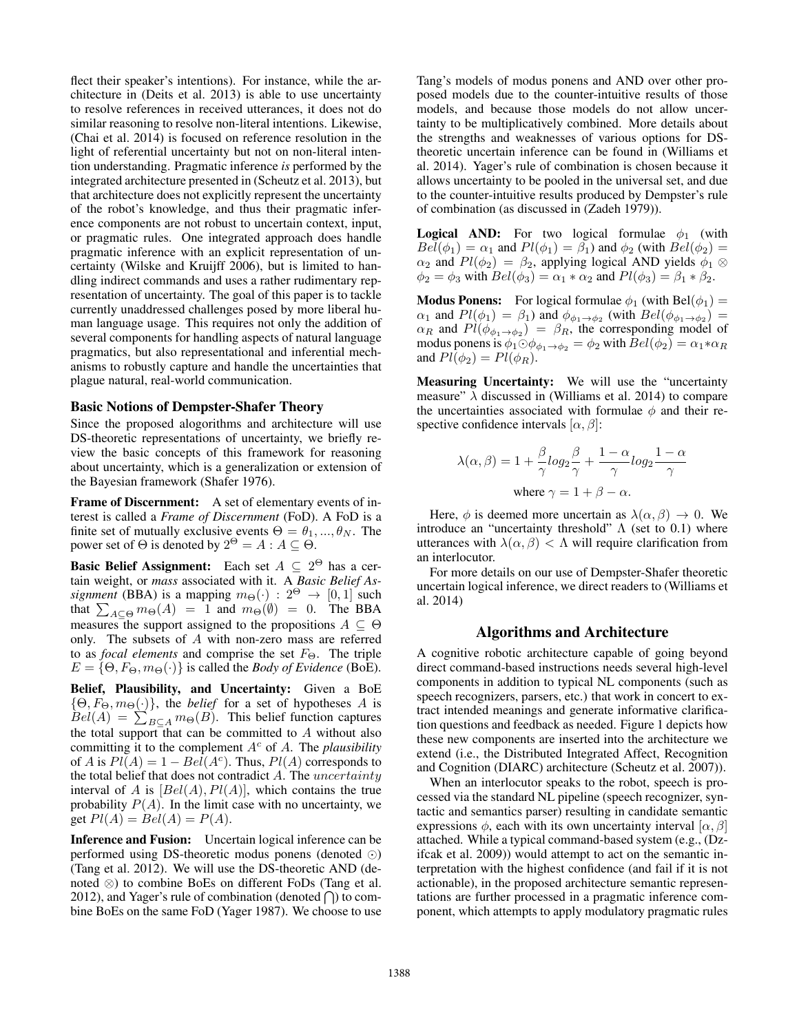flect their speaker's intentions). For instance, while the architecture in (Deits et al. 2013) is able to use uncertainty to resolve references in received utterances, it does not do similar reasoning to resolve non-literal intentions. Likewise, (Chai et al. 2014) is focused on reference resolution in the light of referential uncertainty but not on non-literal intention understanding. Pragmatic inference *is* performed by the integrated architecture presented in (Scheutz et al. 2013), but that architecture does not explicitly represent the uncertainty of the robot's knowledge, and thus their pragmatic inference components are not robust to uncertain context, input, or pragmatic rules. One integrated approach does handle pragmatic inference with an explicit representation of uncertainty (Wilske and Kruijff 2006), but is limited to handling indirect commands and uses a rather rudimentary representation of uncertainty. The goal of this paper is to tackle currently unaddressed challenges posed by more liberal human language usage. This requires not only the addition of several components for handling aspects of natural language pragmatics, but also representational and inferential mechanisms to robustly capture and handle the uncertainties that plague natural, real-world communication.

## Basic Notions of Dempster-Shafer Theory

Since the proposed alogorithms and architecture will use DS-theoretic representations of uncertainty, we briefly review the basic concepts of this framework for reasoning about uncertainty, which is a generalization or extension of the Bayesian framework (Shafer 1976).

Frame of Discernment: A set of elementary events of interest is called a *Frame of Discernment* (FoD). A FoD is a finite set of mutually exclusive events  $\Theta = \theta_1, ..., \theta_N$ . The power set of  $\Theta$  is denoted by  $2^{\Theta} = A : A \subseteq \Theta$ .

**Basic Belief Assignment:** Each set  $A \subseteq 2^{\Theta}$  has a certain weight, or *mass* associated with it. A *Basic Belief Assignment* (BBA) is a mapping  $m_{\Theta}(\cdot)$  :  $2^{\Theta} \rightarrow [0, 1]$  such that  $\sum_{A \subseteq \Theta} m_{\Theta}(A) = 1$  and  $m_{\Theta}(\emptyset) = 0$ . The BBA measures the support assigned to the propositions  $A \subseteq \Theta$ only. The subsets of  $A$  with non-zero mass are referred to as *focal elements* and comprise the set  $F_{\Theta}$ . The triple  $E = \{\Theta, F_{\Theta}, m_{\Theta}(\cdot)\}\$ is called the *Body of Evidence* (BoE).

Belief, Plausibility, and Uncertainty: Given a BoE  $\{\Theta, F_{\Theta}, m_{\Theta}(\cdot)\}\$ , the *belief* for a set of hypotheses A is  $Bel(A) = \sum_{B \subseteq A} m_{\Theta}(B)$ . This belief function captures the total support that can be committed to  $A$  without also committing it to the complement  $A^c$  of A. The *plausibility* of A is  $Pl(A) = 1 - Bel(A<sup>c</sup>)$ . Thus,  $Pl(A)$  corresponds to the total belief that does not contradict  $A$ . The *uncertainty* interval of A is  $[Bel(A), Pl(A)]$ , which contains the true probability  $P(A)$ . In the limit case with no uncertainty, we get  $Pl(A) = Bel(A) = P(A)$ .

Inference and Fusion: Uncertain logical inference can be performed using DS-theoretic modus ponens (denoted  $\odot$ ) (Tang et al. 2012). We will use the DS-theoretic AND (denoted ⊗) to combine BoEs on different FoDs (Tang et al. 2012), and Yager's rule of combination (denoted  $\bigcap$ ) to combine BoEs on the same FoD (Yager 1987). We choose to use

Tang's models of modus ponens and AND over other proposed models due to the counter-intuitive results of those models, and because those models do not allow uncertainty to be multiplicatively combined. More details about the strengths and weaknesses of various options for DStheoretic uncertain inference can be found in (Williams et al. 2014). Yager's rule of combination is chosen because it allows uncertainty to be pooled in the universal set, and due to the counter-intuitive results produced by Dempster's rule of combination (as discussed in (Zadeh 1979)).

**Logical AND:** For two logical formulae  $\phi_1$  (with  $Bel(\phi_1) = \alpha_1$  and  $Pl(\phi_1) = \beta_1$ ) and  $\phi_2$  (with  $Bel(\phi_2) =$  $\alpha_2$  and  $Pl(\phi_2) = \beta_2$ , applying logical AND yields  $\phi_1 \otimes$  $\phi_2 = \phi_3$  with  $Bel(\phi_3) = \alpha_1 * \alpha_2$  and  $Pl(\phi_3) = \beta_1 * \beta_2$ .

**Modus Ponens:** For logical formulae  $\phi_1$  (with Bel $(\phi_1)$ )  $\alpha_1$  and  $Pl(\phi_1) = \beta_1$ ) and  $\phi_{\phi_1 \to \phi_2}$  (with  $Bel(\phi_{\phi_1 \to \phi_2}) =$  $\alpha_R$  and  $Pl(\phi_{\phi_1 \to \phi_2}) = \beta_R$ , the corresponding model of modus ponens is  $\phi_1 \odot \phi_{\phi_1 \to \phi_2} = \phi_2$  with  $Bel(\phi_2) = \alpha_1 * \alpha_R$ and  $Pl(\phi_2) = Pl(\phi_R)$ .

Measuring Uncertainty: We will use the "uncertainty" measure"  $\lambda$  discussed in (Williams et al. 2014) to compare the uncertainties associated with formulae  $\phi$  and their respective confidence intervals  $[\alpha, \beta]$ :

$$
\lambda(\alpha, \beta) = 1 + \frac{\beta}{\gamma} \log_2 \frac{\beta}{\gamma} + \frac{1 - \alpha}{\gamma} \log_2 \frac{1 - \alpha}{\gamma}
$$
  
where  $\gamma = 1 + \beta - \alpha$ .

Here,  $\phi$  is deemed more uncertain as  $\lambda(\alpha, \beta) \rightarrow 0$ . We introduce an "uncertainty threshold"  $\Lambda$  (set to 0.1) where utterances with  $\lambda(\alpha, \beta) < \Lambda$  will require clarification from an interlocutor.

For more details on our use of Dempster-Shafer theoretic uncertain logical inference, we direct readers to (Williams et al. 2014)

## Algorithms and Architecture

A cognitive robotic architecture capable of going beyond direct command-based instructions needs several high-level components in addition to typical NL components (such as speech recognizers, parsers, etc.) that work in concert to extract intended meanings and generate informative clarification questions and feedback as needed. Figure 1 depicts how these new components are inserted into the architecture we extend (i.e., the Distributed Integrated Affect, Recognition and Cognition (DIARC) architecture (Scheutz et al. 2007)).

When an interlocutor speaks to the robot, speech is processed via the standard NL pipeline (speech recognizer, syntactic and semantics parser) resulting in candidate semantic expressions  $\phi$ , each with its own uncertainty interval  $[\alpha, \beta]$ attached. While a typical command-based system (e.g., (Dzifcak et al. 2009)) would attempt to act on the semantic interpretation with the highest confidence (and fail if it is not actionable), in the proposed architecture semantic representations are further processed in a pragmatic inference component, which attempts to apply modulatory pragmatic rules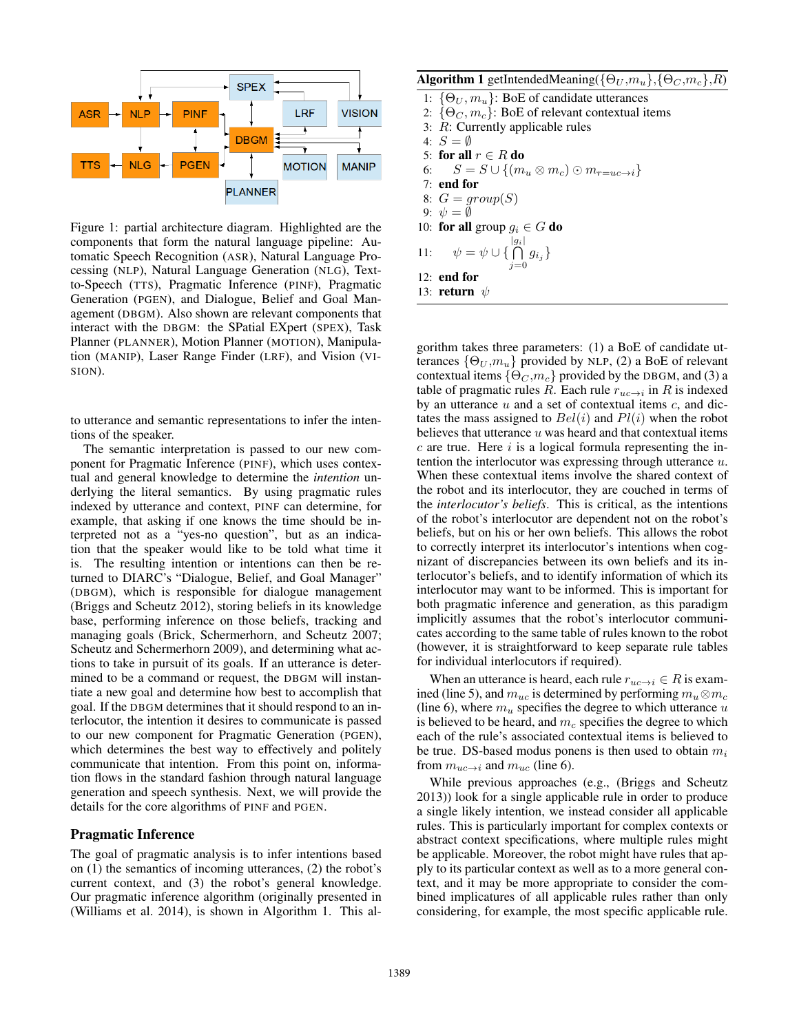

Figure 1: partial architecture diagram. Highlighted are the components that form the natural language pipeline: Automatic Speech Recognition (ASR), Natural Language Processing (NLP), Natural Language Generation (NLG), Textto-Speech (TTS), Pragmatic Inference (PINF), Pragmatic Generation (PGEN), and Dialogue, Belief and Goal Management (DBGM). Also shown are relevant components that interact with the DBGM: the SPatial EXpert (SPEX), Task Planner (PLANNER), Motion Planner (MOTION), Manipulation (MANIP), Laser Range Finder (LRF), and Vision (VI-SION).

to utterance and semantic representations to infer the intentions of the speaker.

The semantic interpretation is passed to our new component for Pragmatic Inference (PINF), which uses contextual and general knowledge to determine the *intention* underlying the literal semantics. By using pragmatic rules indexed by utterance and context, PINF can determine, for example, that asking if one knows the time should be interpreted not as a "yes-no question", but as an indication that the speaker would like to be told what time it is. The resulting intention or intentions can then be returned to DIARC's "Dialogue, Belief, and Goal Manager" (DBGM), which is responsible for dialogue management (Briggs and Scheutz 2012), storing beliefs in its knowledge base, performing inference on those beliefs, tracking and managing goals (Brick, Schermerhorn, and Scheutz 2007; Scheutz and Schermerhorn 2009), and determining what actions to take in pursuit of its goals. If an utterance is determined to be a command or request, the DBGM will instantiate a new goal and determine how best to accomplish that goal. If the DBGM determines that it should respond to an interlocutor, the intention it desires to communicate is passed to our new component for Pragmatic Generation (PGEN), which determines the best way to effectively and politely communicate that intention. From this point on, information flows in the standard fashion through natural language generation and speech synthesis. Next, we will provide the details for the core algorithms of PINF and PGEN.

# Pragmatic Inference

The goal of pragmatic analysis is to infer intentions based on (1) the semantics of incoming utterances, (2) the robot's current context, and (3) the robot's general knowledge. Our pragmatic inference algorithm (originally presented in (Williams et al. 2014), is shown in Algorithm 1. This al**Algorithm 1** getIntendedMeaning( $\{\Theta_U, m_u\}$ ,  $\{\Theta_C, m_c\}$ , R)

1:  $\{\Theta_U, m_u\}$ : BoE of candidate utterances 2:  $\{\Theta_C, m_c\}$ : BoE of relevant contextual items 3: R: Currently applicable rules 4:  $S = \emptyset$ 5: for all  $r \in R$  do 6:  $S = S \cup \{(m_u \otimes m_c) \odot m_{r=uc \to i}\}\$ 7: end for 8:  $G = group(S)$ 9:  $\psi = \emptyset$ 10: for all group  $q_i \in G$  do 11:  $\psi = \psi \cup \left\{ \bigcap_{i=1}^{|g_i|} \right\}$  $\bigcap_{j=0} g_{i_j} \}$ 12: end for 13: return  $\psi$ 

gorithm takes three parameters: (1) a BoE of candidate utterances  $\{\Theta_U, m_u\}$  provided by NLP, (2) a BoE of relevant contextual items  $\{\Theta_C, m_c\}$  provided by the DBGM, and (3) a table of pragmatic rules R. Each rule  $r_{uc\to i}$  in R is indexed by an utterance  $u$  and a set of contextual items  $c$ , and dictates the mass assigned to  $Bel(i)$  and  $Pl(i)$  when the robot believes that utterance  $u$  was heard and that contextual items  $c$  are true. Here  $i$  is a logical formula representing the intention the interlocutor was expressing through utterance u. When these contextual items involve the shared context of the robot and its interlocutor, they are couched in terms of the *interlocutor's beliefs*. This is critical, as the intentions of the robot's interlocutor are dependent not on the robot's beliefs, but on his or her own beliefs. This allows the robot to correctly interpret its interlocutor's intentions when cognizant of discrepancies between its own beliefs and its interlocutor's beliefs, and to identify information of which its interlocutor may want to be informed. This is important for both pragmatic inference and generation, as this paradigm implicitly assumes that the robot's interlocutor communicates according to the same table of rules known to the robot (however, it is straightforward to keep separate rule tables for individual interlocutors if required).

When an utterance is heard, each rule  $r_{uc\to i} \in R$  is examined (line 5), and  $m_{uc}$  is determined by performing  $m_u \otimes m_c$ (line 6), where  $m_u$  specifies the degree to which utterance u is believed to be heard, and  $m_c$  specifies the degree to which each of the rule's associated contextual items is believed to be true. DS-based modus ponens is then used to obtain  $m_i$ from  $m_{uc\to i}$  and  $m_{uc}$  (line 6).

While previous approaches (e.g., (Briggs and Scheutz 2013)) look for a single applicable rule in order to produce a single likely intention, we instead consider all applicable rules. This is particularly important for complex contexts or abstract context specifications, where multiple rules might be applicable. Moreover, the robot might have rules that apply to its particular context as well as to a more general context, and it may be more appropriate to consider the combined implicatures of all applicable rules rather than only considering, for example, the most specific applicable rule.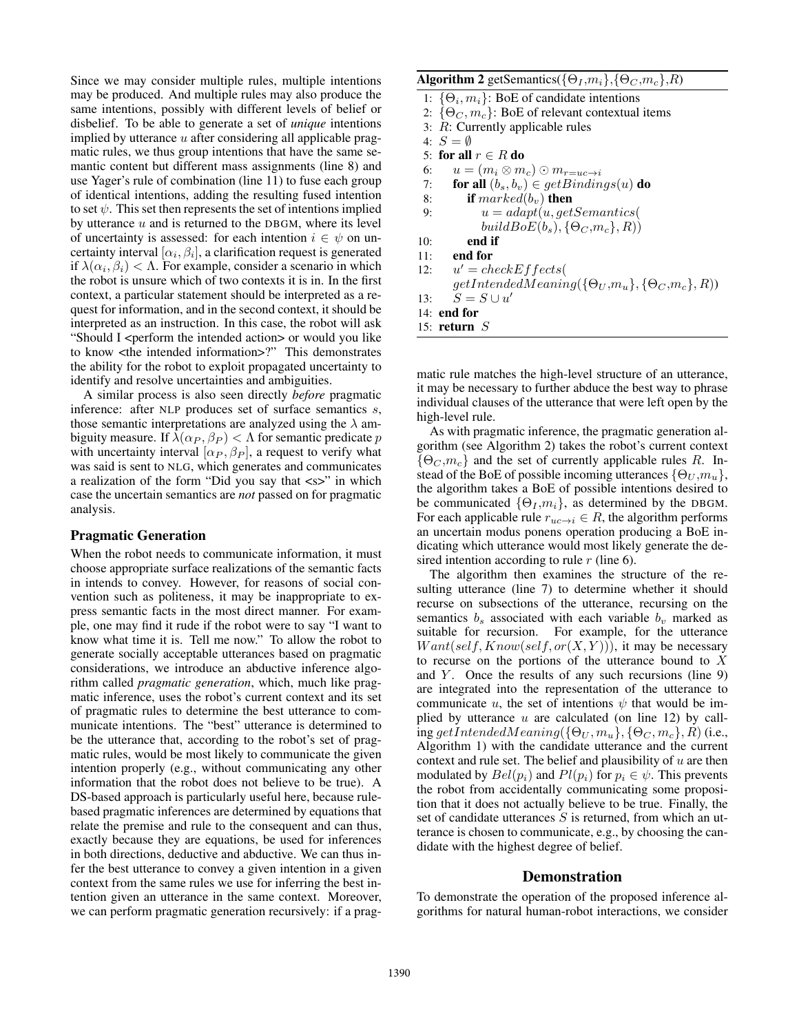Since we may consider multiple rules, multiple intentions may be produced. And multiple rules may also produce the same intentions, possibly with different levels of belief or disbelief. To be able to generate a set of *unique* intentions implied by utterance  $u$  after considering all applicable pragmatic rules, we thus group intentions that have the same semantic content but different mass assignments (line 8) and use Yager's rule of combination (line 11) to fuse each group of identical intentions, adding the resulting fused intention to set  $\psi$ . This set then represents the set of intentions implied by utterance  $u$  and is returned to the DBGM, where its level of uncertainty is assessed: for each intention  $i \in \psi$  on uncertainty interval  $[\alpha_i, \beta_i]$ , a clarification request is generated if  $\lambda(\alpha_i, \beta_i) < \Lambda$ . For example, consider a scenario in which the robot is unsure which of two contexts it is in. In the first context, a particular statement should be interpreted as a request for information, and in the second context, it should be interpreted as an instruction. In this case, the robot will ask "Should I <perform the intended action> or would you like to know <the intended information>?" This demonstrates the ability for the robot to exploit propagated uncertainty to identify and resolve uncertainties and ambiguities.

A similar process is also seen directly *before* pragmatic inference: after NLP produces set of surface semantics s, those semantic interpretations are analyzed using the  $\lambda$  ambiguity measure. If  $\lambda(\alpha_P, \beta_P) < \Lambda$  for semantic predicate p with uncertainty interval  $[\alpha_P, \beta_P]$ , a request to verify what was said is sent to NLG, which generates and communicates a realization of the form "Did you say that <s>" in which case the uncertain semantics are *not* passed on for pragmatic analysis.

## Pragmatic Generation

When the robot needs to communicate information, it must choose appropriate surface realizations of the semantic facts in intends to convey. However, for reasons of social convention such as politeness, it may be inappropriate to express semantic facts in the most direct manner. For example, one may find it rude if the robot were to say "I want to know what time it is. Tell me now." To allow the robot to generate socially acceptable utterances based on pragmatic considerations, we introduce an abductive inference algorithm called *pragmatic generation*, which, much like pragmatic inference, uses the robot's current context and its set of pragmatic rules to determine the best utterance to communicate intentions. The "best" utterance is determined to be the utterance that, according to the robot's set of pragmatic rules, would be most likely to communicate the given intention properly (e.g., without communicating any other information that the robot does not believe to be true). A DS-based approach is particularly useful here, because rulebased pragmatic inferences are determined by equations that relate the premise and rule to the consequent and can thus, exactly because they are equations, be used for inferences in both directions, deductive and abductive. We can thus infer the best utterance to convey a given intention in a given context from the same rules we use for inferring the best intention given an utterance in the same context. Moreover, we can perform pragmatic generation recursively: if a prag-

## **Algorithm 2** getSemantics( $\{\Theta_I, m_i\}, \{\Theta_C, m_c\}, R$ )

1:  $\{\Theta_i, m_i\}$ : BoE of candidate intentions 2:  $\{\Theta_C, m_c\}$ : BoE of relevant contextual items 3: R: Currently applicable rules 4:  $S = \emptyset$ 5: for all  $r \in R$  do 6:  $u = (m_i \otimes m_c) \odot m_{r=uc \to i}$ 7: for all  $(b_s, b_v) \in getBinding(u)$  do 8: **if**  $marked(b_v)$  **then**<br>9:  $u = adapt(u, qet)$  $u = adapt(u, getSemantics)$  $buildBoE(b_s), {\Theta_C, m_c}, R)$  $10:$  end if 11: end for  $12:$  $u' = checkEffects$  $getIntendedMeaning({\Theta_U, m_u}, {\Theta_C, m_c}, R))$ 13:  $S = S \cup u'$ 14: end for 15: return  $S$ 

matic rule matches the high-level structure of an utterance, it may be necessary to further abduce the best way to phrase individual clauses of the utterance that were left open by the high-level rule.

As with pragmatic inference, the pragmatic generation algorithm (see Algorithm 2) takes the robot's current context  $\{\Theta_C, m_c\}$  and the set of currently applicable rules R. Instead of the BoE of possible incoming utterances  $\{\Theta_U, m_u\},\$ the algorithm takes a BoE of possible intentions desired to be communicated  $\{\Theta_I, m_i\}$ , as determined by the DBGM. For each applicable rule  $r_{uc\to i} \in R$ , the algorithm performs an uncertain modus ponens operation producing a BoE indicating which utterance would most likely generate the desired intention according to rule  $r$  (line 6).

The algorithm then examines the structure of the resulting utterance (line 7) to determine whether it should recurse on subsections of the utterance, recursing on the semantics  $b_s$  associated with each variable  $b_v$  marked as suitable for recursion. For example, for the utterance  $Want(self, Know(self, or(X, Y))),$  it may be necessary to recurse on the portions of the utterance bound to X and  $Y$ . Once the results of any such recursions (line 9) are integrated into the representation of the utterance to communicate u, the set of intentions  $\psi$  that would be implied by utterance  $u$  are calculated (on line 12) by calling getIntendedMeaning( $\{\Theta_U, m_u\}$ ,  $\{\Theta_C, m_c\}$ , R) (i.e., Algorithm 1) with the candidate utterance and the current context and rule set. The belief and plausibility of  $u$  are then modulated by  $Bel(p_i)$  and  $Pl(p_i)$  for  $p_i \in \psi$ . This prevents the robot from accidentally communicating some proposition that it does not actually believe to be true. Finally, the set of candidate utterances  $S$  is returned, from which an utterance is chosen to communicate, e.g., by choosing the candidate with the highest degree of belief.

#### Demonstration

To demonstrate the operation of the proposed inference algorithms for natural human-robot interactions, we consider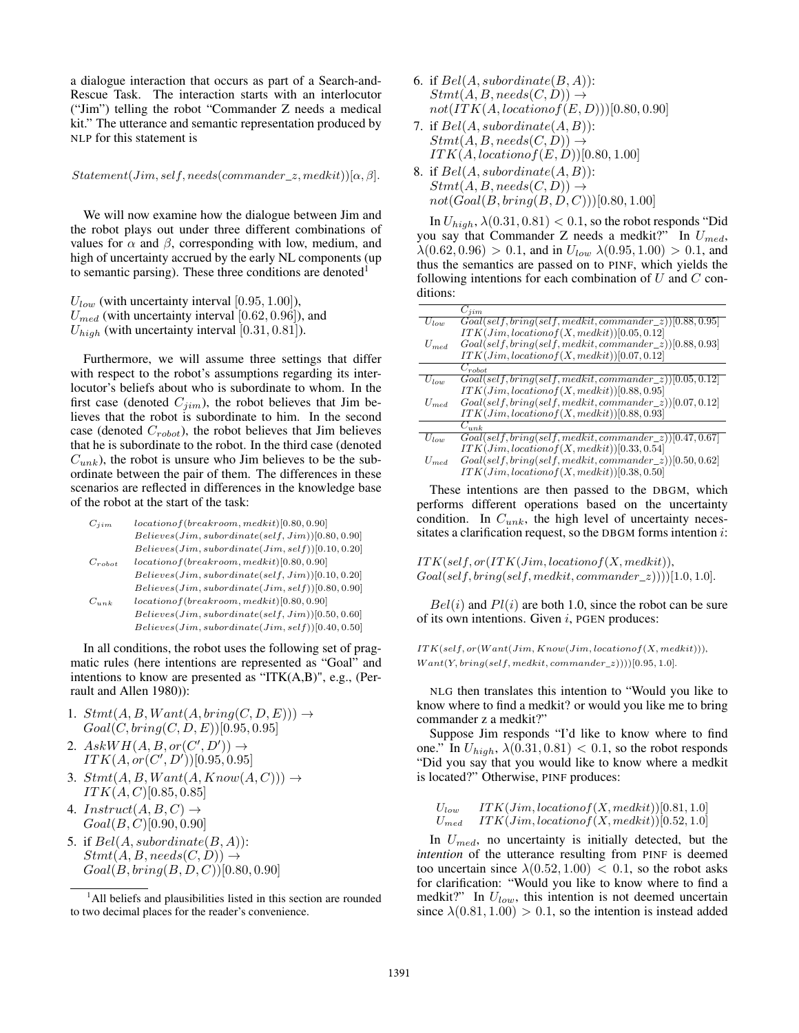a dialogue interaction that occurs as part of a Search-and-Rescue Task. The interaction starts with an interlocutor ("Jim") telling the robot "Commander Z needs a medical kit." The utterance and semantic representation produced by NLP for this statement is

 $Statement(Jim, self, needs(commander_z, medkit))[\alpha, \beta].$ 

We will now examine how the dialogue between Jim and the robot plays out under three different combinations of values for  $\alpha$  and  $\beta$ , corresponding with low, medium, and high of uncertainty accrued by the early NL components (up to semantic parsing). These three conditions are denoted $<sup>1</sup>$ </sup>

 $U_{low}$  (with uncertainty interval [0.95, 1.00]),  $U_{med}$  (with uncertainty interval [0.62, 0.96]), and  $U_{high}$  (with uncertainty interval [0.31, 0.81]).

Furthermore, we will assume three settings that differ with respect to the robot's assumptions regarding its interlocutor's beliefs about who is subordinate to whom. In the first case (denoted  $C_{jim}$ ), the robot believes that Jim believes that the robot is subordinate to him. In the second case (denoted  $C_{robot}$ ), the robot believes that Jim believes that he is subordinate to the robot. In the third case (denoted  $C_{unk}$ ), the robot is unsure who Jim believes to be the subordinate between the pair of them. The differences in these scenarios are reflected in differences in the knowledge base of the robot at the start of the task:

| $C_{ij}$    | $location of (breakroom, medkit)[0.80, 0.90]$          |
|-------------|--------------------------------------------------------|
|             | $Believes (Jim, subordinate (self, Jim)) [0.80, 0.90]$ |
|             | $Believes (Jim, subordinate (Jim, self)) [0.10, 0.20]$ |
| $C_{robot}$ | $location of (breakroom, medkit)[0.80, 0.90]$          |
|             | $Believes (Jim, subordinate (self, Jim)) [0.10, 0.20]$ |
|             | $Believes (Jim, subordinate (Jim, self)) [0.80, 0.90]$ |
| $C_{unk}$   | $location of (breakroom, medkit)[0.80, 0.90]$          |

 $Believes (Jim, subordinate (self, Jim)) [0.50, 0.60] % \label{thm:1}$  $Believes (Jim, subordinate (Jim, self))[0.40, 0.50]$ 

In all conditions, the robot uses the following set of pragmatic rules (here intentions are represented as "Goal" and intentions to know are presented as "ITK(A,B)", e.g., (Perrault and Allen 1980)):

- 1.  $Stmt(A, B, Want(A, bring(C, D, E))) \rightarrow$  $Goal(C, bring(C, D, E))[0.95, 0.95]$
- 2.  $AskWH(A, B, or(C', D')) \rightarrow$  $ITK(A, or (C', D'))[0.95, 0.95]$
- 3.  $Stmt(A, B, Want(A, Know(A, C))) \rightarrow$  $ITK(A, C)[0.85, 0.85]$
- 4.  $Instruct(A, B, C) \rightarrow$  $Goal(B, C)[0.90, 0.90]$
- 5. if  $Bel(A, subordinate(B, A))$ :  $Stmt(A, B, needs(C, D)) \rightarrow$  $Goal(B, bring(B, D, C))[0.80, 0.90]$
- 6. if  $Bel(A, subordinate(B, A))$ :  $Stmt(A, B, needs(C, D)) \rightarrow$  $not(TTK(A, locationof(E, D)))[0.80, 0.90]$
- 7. if  $Bel(A, subordinate(A, B))$ :  $Stmt(A, B, needs(C, D)) \rightarrow$  $ITK(A, locationof(E, D))[0.80, 1.00]$
- 8. if  $Bel(A, subordinate(A, B))$ :  $Stmt(A, B, needs(C, D)) \rightarrow$  $not(Goal(B, bring(B, D, C)))[0.80, 1.00]$

In  $U_{high}$ ,  $\lambda(0.31, 0.81) < 0.1$ , so the robot responds "Did you say that Commander Z needs a medkit?" In  $U_{med}$ ,  $\lambda(0.62, 0.96) > 0.1$ , and in  $U_{low}$   $\lambda(0.95, 1.00) > 0.1$ , and thus the semantics are passed on to PINF, which yields the following intentions for each combination of  $U$  and  $C$  conditions:

|           | $C_{iim}$                                                               |
|-----------|-------------------------------------------------------------------------|
| $U_{low}$ | $Goal(self, bring(self, medkit, commander_z)) 0.88, 0.95 $              |
|           | $ITK(Jim, location of (X, medkit)) [0.05, 0.12]$                        |
| $U_{med}$ | $Goal(self, bring(self, medkit, commander_z))[0.88, 0.93]$              |
|           | $ITK(Jim, location of (X, medkit))$ [0.07, 0.12]                        |
|           | $C_{robot}$                                                             |
| $U_{low}$ | $Goal(self, bring(self, medkit, commander_z))[0.05, 0.12]$              |
|           | $ITK(Jim, location of (X, medkit))$ [0.88, 0.95]                        |
| $U_{med}$ | $Goal(self, bring(self, medkit, commander_z))[0.07, 0.12]$              |
|           | $ITK(Jim, location of (X, medkit))$ [0.88, 0.93]                        |
|           | $C_{unk}$                                                               |
| $U_{low}$ | $\overline{Goal(self, bring(self, medkit, commander\_z))}$ [0.47, 0.67] |
|           | $ITK(Jim, location of (X, medkit))$ [0.33, 0.54]                        |
| $U_{med}$ | $Goal(self, bring(self, medkit, commander_z))[0.50, 0.62]$              |
|           | $ITK(Jim. location of (X. medkit))$ [0.38, 0.50]                        |

These intentions are then passed to the DBGM, which performs different operations based on the uncertainty condition. In  $C_{unk}$ , the high level of uncertainty necessitates a clarification request, so the DBGM forms intention  $i$ :

 $ITK(self, or (ITK(Jim, location of (X, medkit)),$  $Goal(self, bring(self, medkit, commander_z)))[1.0, 1.0].$ 

 $Bel(i)$  and  $Pl(i)$  are both 1.0, since the robot can be sure of its own intentions. Given  $i$ , PGEN produces:

 $ITK(self, or (Want (Jim, Know(Jim, location of (X, medkit))),$  $Want(Y, bring(self, medkit, commander_z))))[0.95, 1.0].$ 

NLG then translates this intention to "Would you like to know where to find a medkit? or would you like me to bring commander z a medkit?"

Suppose Jim responds "I'd like to know where to find one." In  $U_{high}$ ,  $\lambda(0.31, 0.81) < 0.1$ , so the robot responds "Did you say that you would like to know where a medkit is located?" Otherwise, PINF produces:

$$
\begin{array}{ll}\nU_{low} & \quad ITK Jim, location of (X, medkit))[0.81, 1.0] \\
U_{med} & \quad ITK Jim, location of (X, medkit))[0.52, 1.0]\n\end{array}
$$

In  $U_{med}$ , no uncertainty is initially detected, but the *intention* of the utterance resulting from PINF is deemed too uncertain since  $\lambda(0.52, 1.00) < 0.1$ , so the robot asks for clarification: "Would you like to know where to find a medkit?" In  $U_{low}$ , this intention is not deemed uncertain since  $\lambda(0.81, 1.00) > 0.1$ , so the intention is instead added

<sup>&</sup>lt;sup>1</sup>All beliefs and plausibilities listed in this section are rounded to two decimal places for the reader's convenience.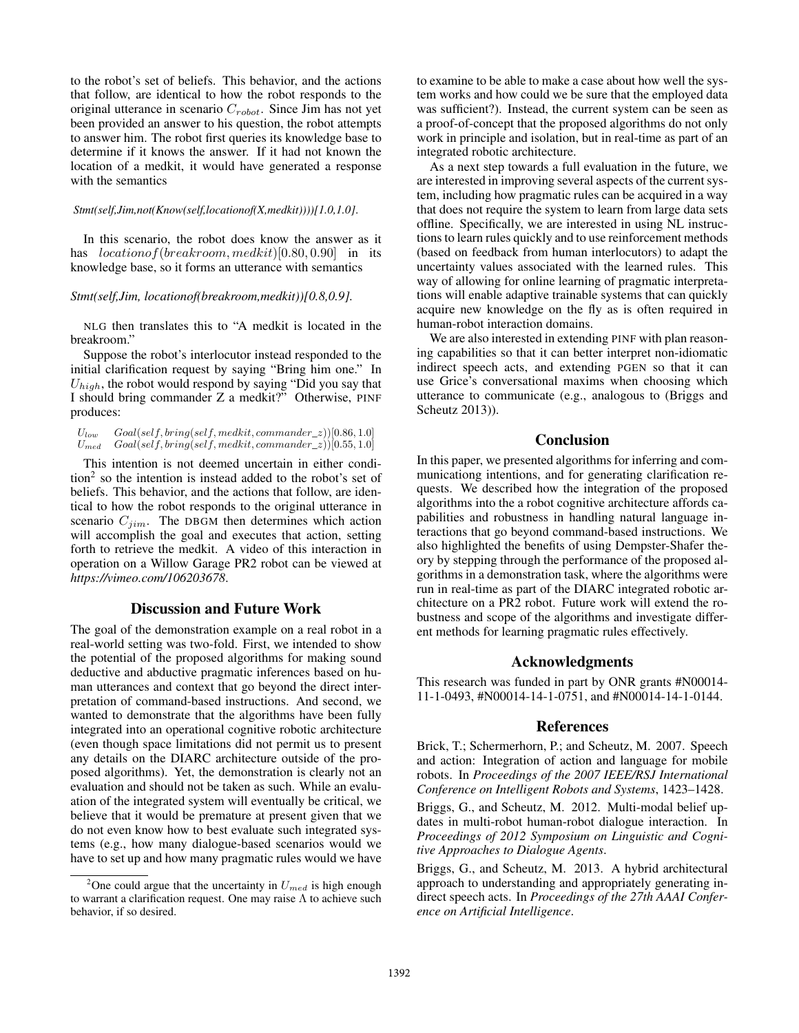to the robot's set of beliefs. This behavior, and the actions that follow, are identical to how the robot responds to the original utterance in scenario  $C_{robot}$ . Since Jim has not yet been provided an answer to his question, the robot attempts to answer him. The robot first queries its knowledge base to determine if it knows the answer. If it had not known the location of a medkit, it would have generated a response with the semantics

#### *Stmt(self,Jim,not(Know(self,locationof(X,medkit))))[1.0,1.0]*.

In this scenario, the robot does know the answer as it has  $location of(breakroom, medkit)[0.80, 0.90]$  in its knowledge base, so it forms an utterance with semantics

#### *Stmt(self,Jim, locationof(breakroom,medkit))[0.8,0.9].*

NLG then translates this to "A medkit is located in the breakroom."

Suppose the robot's interlocutor instead responded to the initial clarification request by saying "Bring him one." In  $U_{high}$ , the robot would respond by saying "Did you say that I should bring commander Z a medkit?" Otherwise, PINF produces:

 $U_{low}$   $Goal(self, bring(self, medkit, commander_z))[0.86, 1.0]$  $U_{med}$  Goal(self, bring(self, medkit, commander\_z))[0.55, 1.0]

This intention is not deemed uncertain in either condi- $\tan^2$  so the intention is instead added to the robot's set of beliefs. This behavior, and the actions that follow, are identical to how the robot responds to the original utterance in scenario  $C_{jim}$ . The DBGM then determines which action will accomplish the goal and executes that action, setting forth to retrieve the medkit. A video of this interaction in operation on a Willow Garage PR2 robot can be viewed at *https://vimeo.com/106203678*.

## Discussion and Future Work

The goal of the demonstration example on a real robot in a real-world setting was two-fold. First, we intended to show the potential of the proposed algorithms for making sound deductive and abductive pragmatic inferences based on human utterances and context that go beyond the direct interpretation of command-based instructions. And second, we wanted to demonstrate that the algorithms have been fully integrated into an operational cognitive robotic architecture (even though space limitations did not permit us to present any details on the DIARC architecture outside of the proposed algorithms). Yet, the demonstration is clearly not an evaluation and should not be taken as such. While an evaluation of the integrated system will eventually be critical, we believe that it would be premature at present given that we do not even know how to best evaluate such integrated systems (e.g., how many dialogue-based scenarios would we have to set up and how many pragmatic rules would we have

to examine to be able to make a case about how well the system works and how could we be sure that the employed data was sufficient?). Instead, the current system can be seen as a proof-of-concept that the proposed algorithms do not only work in principle and isolation, but in real-time as part of an integrated robotic architecture.

As a next step towards a full evaluation in the future, we are interested in improving several aspects of the current system, including how pragmatic rules can be acquired in a way that does not require the system to learn from large data sets offline. Specifically, we are interested in using NL instructions to learn rules quickly and to use reinforcement methods (based on feedback from human interlocutors) to adapt the uncertainty values associated with the learned rules. This way of allowing for online learning of pragmatic interpretations will enable adaptive trainable systems that can quickly acquire new knowledge on the fly as is often required in human-robot interaction domains.

We are also interested in extending PINF with plan reasoning capabilities so that it can better interpret non-idiomatic indirect speech acts, and extending PGEN so that it can use Grice's conversational maxims when choosing which utterance to communicate (e.g., analogous to (Briggs and Scheutz 2013)).

## Conclusion

In this paper, we presented algorithms for inferring and communicationg intentions, and for generating clarification requests. We described how the integration of the proposed algorithms into the a robot cognitive architecture affords capabilities and robustness in handling natural language interactions that go beyond command-based instructions. We also highlighted the benefits of using Dempster-Shafer theory by stepping through the performance of the proposed algorithms in a demonstration task, where the algorithms were run in real-time as part of the DIARC integrated robotic architecture on a PR2 robot. Future work will extend the robustness and scope of the algorithms and investigate different methods for learning pragmatic rules effectively.

# Acknowledgments

This research was funded in part by ONR grants #N00014- 11-1-0493, #N00014-14-1-0751, and #N00014-14-1-0144.

# References

Brick, T.; Schermerhorn, P.; and Scheutz, M. 2007. Speech and action: Integration of action and language for mobile robots. In *Proceedings of the 2007 IEEE/RSJ International Conference on Intelligent Robots and Systems*, 1423–1428.

Briggs, G., and Scheutz, M. 2012. Multi-modal belief updates in multi-robot human-robot dialogue interaction. In *Proceedings of 2012 Symposium on Linguistic and Cognitive Approaches to Dialogue Agents*.

Briggs, G., and Scheutz, M. 2013. A hybrid architectural approach to understanding and appropriately generating indirect speech acts. In *Proceedings of the 27th AAAI Conference on Artificial Intelligence*.

<sup>&</sup>lt;sup>2</sup>One could argue that the uncertainty in  $U_{med}$  is high enough to warrant a clarification request. One may raise Λ to achieve such behavior, if so desired.